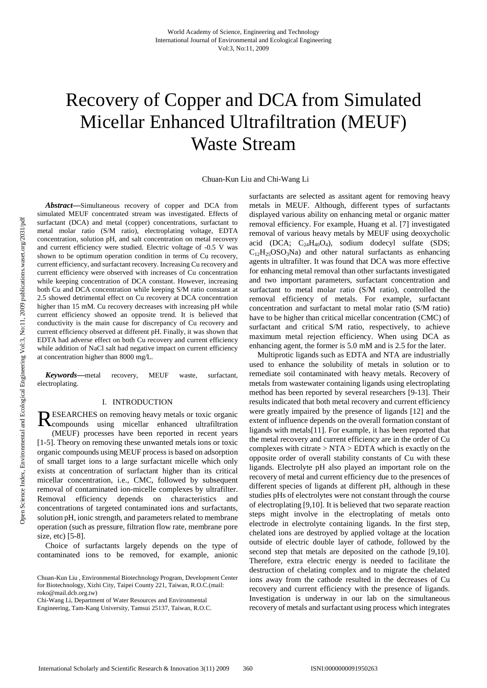# Recovery of Copper and DCA from Simulated Micellar Enhanced Ultrafiltration (MEUF) Waste Stream

Chuan-Kun Liu and Chi-Wang Li

*Abstract***—**Simultaneous recovery of copper and DCA from simulated MEUF concentrated stream was investigated. Effects of surfactant (DCA) and metal (copper) concentrations, surfactant to metal molar ratio (S/M ratio), electroplating voltage, EDTA concentration, solution pH, and salt concentration on metal recovery and current efficiency were studied. Electric voltage of -0.5 V was shown to be optimum operation condition in terms of Cu recovery, current efficiency, and surfactant recovery. Increasing Cu recovery and current efficiency were observed with increases of Cu concentration while keeping concentration of DCA constant. However, increasing both Cu and DCA concentration while keeping S/M ratio constant at 2.5 showed detrimental effect on Cu recovery at DCA concentration higher than 15 mM. Cu recovery decreases with increasing pH while current efficiency showed an opposite trend. It is believed that conductivity is the main cause for discrepancy of Cu recovery and current efficiency observed at different pH. Finally, it was shown that EDTA had adverse effect on both Cu recovery and current efficiency while addition of NaCl salt had negative impact on current efficiency at concentration higher than 8000 mg/L.

*Keywords***—**metal recovery, MEUF waste, surfactant, electroplating.

#### I. INTRODUCTION

ESEARCHES on removing heavy metals or toxic organic RESEARCHES on removing heavy metals or toxic organic<br>Recompounds using micellar enhanced ultrafiltration (MEUF) processes have been reported in recent years [1-5]. Theory on removing these unwanted metals ions or toxic organic compounds using MEUF process is based on adsorption of small target ions to a large surfactant micelle which only exists at concentration of surfactant higher than its critical micellar concentration, i.e., CMC, followed by subsequent removal of contaminated ion-micelle complexes by ultrafilter. Removal efficiency depends on characteristics and concentrations of targeted contaminated ions and surfactants, solution pH, ionic strength, and parameters related to membrane operation (such as pressure, filtration flow rate, membrane pore size, etc) [5-8].

Choice of surfactants largely depends on the type of contaminated ions to be removed, for example, anionic

Chi-Wang Li, Department of Water Resources and Environmental Engineering, Tam-Kang University, Tamsui 25137, Taiwan, R.O.C. surfactants are selected as assitant agent for removing heavy metals in MEUF. Although, different types of surfactants displayed various ability on enhancing metal or organic matter removal efficiency. For example, Huang et al. [7] investigated removal of various heavy metals by MEUF using deoxycholic acid (DCA;  $C_{24}H_{40}O_4$ ), sodium dodecyl sulfate (SDS;  $C_{12}H_{25}OSO_3Na$  and other natural surfactants as enhancing agents in ultrafilter. It was found that DCA was more effective for enhancing metal removal than other surfactants investigated and two important parameters, surfactant concentration and surfactant to metal molar ratio (S/M ratio), controlled the removal efficiency of metals. For example, surfactant concentration and surfactant to metal molar ratio (S/M ratio) have to be higher than critical micellar concentration (CMC) of surfactant and critical S/M ratio, respectively, to achieve maximum metal rejection efficiency. When using DCA as enhancing agent, the former is 5.0 mM and is 2.5 for the later.

Multiprotic ligands such as EDTA and NTA are industrially used to enhance the solubility of metals in solution or to remediate soil contaminated with heavy metals. Recovery of metals from wastewater containing ligands using electroplating method has been reported by several researchers [9-13]. Their results indicated that both metal recovery and current efficiency were greatly impaired by the presence of ligands [12] and the extent of influence depends on the overall formation constant of ligands with metals[11]. For example, it has been reported that the metal recovery and current efficiency are in the order of Cu complexes with citrate  $> NTA > EDTA$  which is exactly on the opposite order of overall stability constants of Cu with these ligands. Electrolyte pH also played an important role on the recovery of metal and current efficiency due to the presences of different species of ligands at different pH, although in these studies pHs of electrolytes were not constant through the course of electroplating [9,10]. It is believed that two separate reaction steps might involve in the electroplating of metals onto electrode in electrolyte containing ligands. In the first step, chelated ions are destroyed by applied voltage at the location outside of electric double layer of cathode, followed by the second step that metals are deposited on the cathode [9,10]. Therefore, extra electric energy is needed to facilitate the destruction of chelating complex and to migrate the chelated ions away from the cathode resulted in the decreases of Cu recovery and current efficiency with the presence of ligands. Investigation is underway in our lab on the simultaneous recovery of metals and surfactant using process which integrates

Chuan-Kun Liu , Environmental Biotechnology Program, Development Center for Biotechnology, Xizhi City, Taipei County 221, Taiwan, R.O.C.(mail: roko@mail.dcb.org.tw)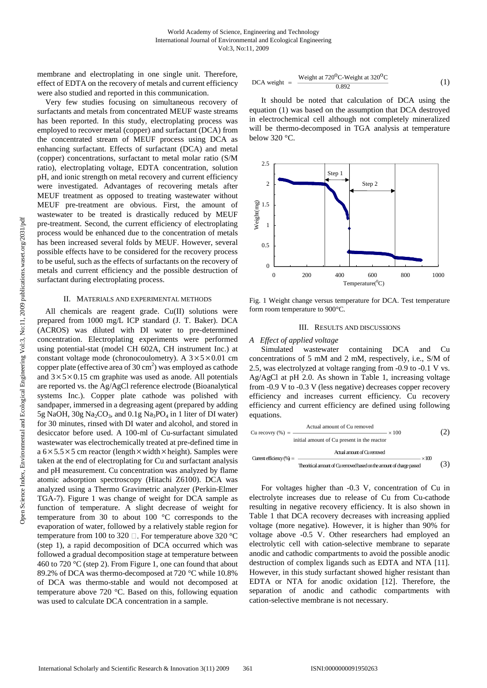membrane and electroplating in one single unit. Therefore, effect of EDTA on the recovery of metals and current efficiency were also studied and reported in this communication.

Very few studies focusing on simultaneous recovery of surfactants and metals from concentrated MEUF waste streams has been reported. In this study, electroplating process was employed to recover metal (copper) and surfactant (DCA) from the concentrated stream of MEUF process using DCA as enhancing surfactant. Effects of surfactant (DCA) and metal (copper) concentrations, surfactant to metal molar ratio (S/M ratio), electroplating voltage, EDTA concentration, solution pH, and ionic strength on metal recovery and current efficiency were investigated. Advantages of recovering metals after MEUF treatment as opposed to treating wastewater without MEUF pre-treatment are obvious. First, the amount of wastewater to be treated is drastically reduced by MEUF pre-treatment. Second, the current efficiency of electroplating process would be enhanced due to the concentration of metals has been increased several folds by MEUF. However, several possible effects have to be considered for the recovery process to be useful, such as the effects of surfactants on the recovery of metals and current efficiency and the possible destruction of surfactant during electroplating process.

#### II. MATERIALS AND EXPERIMENTAL METHODS

All chemicals are reagent grade. Cu(II) solutions were prepared from 1000 mg/L ICP standard (J. T. Baker). DCA (ACROS) was diluted with DI water to pre-determined concentration. Electroplating experiments were performed using potential-stat (model CH 602A, CH instrument Inc.) at constant voltage mode (chronocoulometry). A  $3 \times 5 \times 0.01$  cm copper plate (effective area of  $30 \text{ cm}^2$ ) was employed as cathode and  $3 \times 5 \times 0.15$  cm graphite was used as anode. All potentials are reported vs. the Ag/AgCl reference electrode (Bioanalytical systems Inc.). Copper plate cathode was polished with sandpaper, immersed in a degreasing agent (prepared by adding 5g NaOH, 30g Na<sub>2</sub>CO<sub>3</sub>, and 0.1g Na<sub>3</sub>PO<sub>4</sub> in 1 liter of DI water) for 30 minutes, rinsed with DI water and alcohol, and stored in desiccator before used. A 100-ml of Cu-surfactant simulated wastewater was electrochemically treated at pre-defined time in  $a 6 \times 5.5 \times 5$  cm reactor (length  $\times$  width  $\times$  height). Samples were taken at the end of electroplating for Cu and surfactant analysis and pH measurement. Cu concentration was analyzed by flame atomic adsorption spectroscopy (Hitachi Z6100). DCA was analyzed using a Thermo Gravimetric analyzer (Perkin-Elmer TGA-7). Figure 1 was change of weight for DCA sample as function of temperature. A slight decrease of weight for temperature from 30 to about 100 °C corresponds to the evaporation of water, followed by a relatively stable region for temperature from 100 to 320  $\Box$ . For temperature above 320 °C (step 1), a rapid decomposition of DCA occurred which was followed a gradual decomposition stage at temperature between 460 to 720 °C (step 2). From Figure 1, one can found that about 89.2% of DCA was thermo-decomposed at 720 °C while 10.8% of DCA was thermo-stable and would not decomposed at temperature above 720 °C. Based on this, following equation was used to calculate DCA concentration in a sample.

DCA weight = 
$$
\frac{\text{Weight at } 720^{\circ} \text{C-Weight at } 320^{\circ} \text{C}}{0.892}
$$
 (1)

It should be noted that calculation of DCA using the equation (1) was based on the assumption that DCA destroyed in electrochemical cell although not completely mineralized will be thermo-decomposed in TGA analysis at temperature below 320 °C.



Fig. 1 Weight change versus temperature for DCA. Test temperature form room temperature to 900°C.

#### III. RESULTS AND DISCUSSIONS

## *A Effect of applied voltage*

Simulated wastewater containing DCA and Cu concentrations of 5 mM and 2 mM, respectively, i.e., S/M of 2.5, was electrolyzed at voltage ranging from -0.9 to -0.1 V vs. Ag/AgCl at pH 2.0. As shown in Table 1, increasing voltage from -0.9 V to -0.3 V (less negative) decreases copper recovery efficiency and increases current efficiency. Cu recovery efficiency and current efficiency are defined using following equations.

$$
Cu \text{ recovery } (\%) = \frac{\text{Actual amount of Cu removed}}{\text{initial amount of Cu present in the reactor}} \times 100 \tag{2}
$$
\n
$$
\frac{\text{Actual amount of Cu present in the reactor}}{\text{Actual amount of Cu removed}} \times 100 \times 100 \tag{3}
$$

For voltages higher than -0.3 V, concentration of Cu in electrolyte increases due to release of Cu from Cu-cathode resulting in negative recovery efficiency. It is also shown in Table 1 that DCA recovery decreases with increasing applied voltage (more negative). However, it is higher than 90% for voltage above -0.5 V. Other researchers had employed an electrolytic cell with cation-selective membrane to separate anodic and cathodic compartments to avoid the possible anodic destruction of complex ligands such as EDTA and NTA [11]. However, in this study surfactant showed higher resistant than EDTA or NTA for anodic oxidation [12]. Therefore, the separation of anodic and cathodic compartments with cation-selective membrane is not necessary.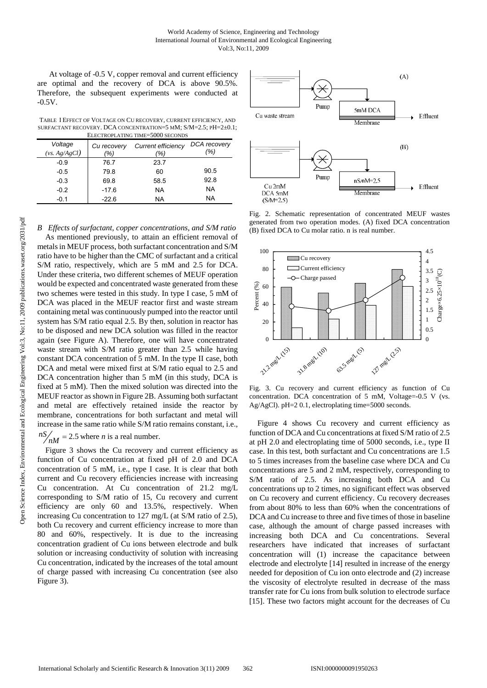At voltage of -0.5 V, copper removal and current efficiency are optimal and the recovery of DCA is above 90.5%. Therefore, the subsequent experiments were conducted at -0.5V.

TABLE I EFFECT OF VOLTAGE ON CU RECOVERY, CURRENT EFFICIENCY, AND SURFACTANT RECOVERY. DCA CONCENTRATION=5 MM; S/M=2.5; PH=2±0.1; ELECTROPLATING TIME=5000 SECONDS

| ЕЕЕСТКОГЕАТІКУ ТІМЕ=2000 ЭЕСОКРЭ |                    |                                  |                     |  |  |  |  |  |  |
|----------------------------------|--------------------|----------------------------------|---------------------|--|--|--|--|--|--|
| Voltage<br>(vs. Ag/AgCl)         | Cu recovery<br>'%) | <b>Current efficiency</b><br>(%) | DCA recovery<br>(%) |  |  |  |  |  |  |
| $-0.9$                           | 76.7               | 23.7                             |                     |  |  |  |  |  |  |
| $-0.5$                           | 79.8               | 60                               | 90.5                |  |  |  |  |  |  |
| $-0.3$                           | 69.8               | 58.5                             | 92.8                |  |  |  |  |  |  |
| $-0.2$                           | $-17.6$            | NA                               | NА                  |  |  |  |  |  |  |
| $-0.1$                           | $-22.6$            | NA                               | NА                  |  |  |  |  |  |  |

*B Effects of surfactant, copper concentrations, and S/M ratio* As mentioned previously, to attain an efficient removal of metals in MEUF process, both surfactant concentration and S/M ratio have to be higher than the CMC of surfactant and a critical S/M ratio, respectively, which are 5 mM and 2.5 for DCA. Under these criteria, two different schemes of MEUF operation would be expected and concentrated waste generated from these two schemes were tested in this study. In type I case, 5 mM of DCA was placed in the MEUF reactor first and waste stream containing metal was continuously pumped into the reactor until system has S/M ratio equal 2.5. By then, solution in reactor has to be disposed and new DCA solution was filled in the reactor again (see Figure A). Therefore, one will have concentrated waste stream with S/M ratio greater than 2.5 while having constant DCA concentration of 5 mM. In the type II case, both DCA and metal were mixed first at S/M ratio equal to 2.5 and DCA concentration higher than 5 mM (in this study, DCA is fixed at 5 mM). Then the mixed solution was directed into the MEUF reactor as shown in Figure 2B. Assuming both surfactant and metal are effectively retained inside the reactor by membrane, concentrations for both surfactant and metal will increase in the same ratio while S/M ratio remains constant, i.e.,

 $nS/M = 2.5$  where *n* is a real number.

Figure 3 shows the Cu recovery and current efficiency as function of Cu concentration at fixed pH of 2.0 and DCA concentration of 5 mM, i.e., type I case. It is clear that both current and Cu recovery efficiencies increase with increasing Cu concentration. At Cu concentration of 21.2 mg/L corresponding to S/M ratio of 15, Cu recovery and current efficiency are only 60 and 13.5%, respectively. When increasing Cu concentration to 127 mg/L (at S/M ratio of 2.5), both Cu recovery and current efficiency increase to more than 80 and 60%, respectively. It is due to the increasing concentration gradient of Cu ions between electrode and bulk solution or increasing conductivity of solution with increasing Cu concentration, indicated by the increases of the total amount of charge passed with increasing Cu concentration (see also Figure 3).



Fig. 2. Schematic representation of concentrated MEUF wastes generated from two operation modes. (A) fixed DCA concentration (B) fixed DCA to Cu molar ratio. n is real number.



Fig. 3. Cu recovery and current efficiency as function of Cu concentration. DCA concentration of 5 mM, Voltage=-0.5 V (vs. Ag/AgCl). pH=2 0.1, electroplating time=5000 seconds.

Figure 4 shows Cu recovery and current efficiency as function of DCA and Cu concentrations at fixed S/M ratio of 2.5 at pH 2.0 and electroplating time of 5000 seconds, i.e., type II case. In this test, both surfactant and Cu concentrations are 1.5 to 5 times increases from the baseline case where DCA and Cu concentrations are 5 and 2 mM, respectively, corresponding to S/M ratio of 2.5. As increasing both DCA and Cu concentrations up to 2 times, no significant effect was observed on Cu recovery and current efficiency. Cu recovery decreases from about 80% to less than 60% when the concentrations of DCA and Cu increase to three and five times of those in baseline case, although the amount of charge passed increases with increasing both DCA and Cu concentrations. Several researchers have indicated that increases of surfactant concentration will (1) increase the capacitance between electrode and electrolyte [14] resulted in increase of the energy needed for deposition of Cu ion onto electrode and (2) increase the viscosity of electrolyte resulted in decrease of the mass transfer rate for Cu ions from bulk solution to electrode surface [15]. These two factors might account for the decreases of Cu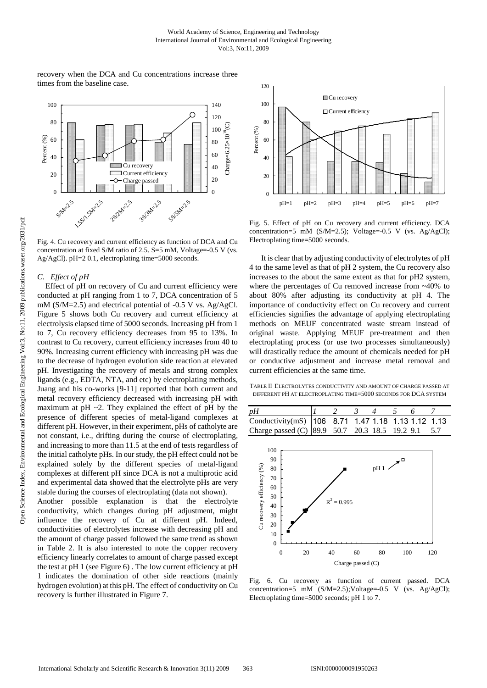recovery when the DCA and Cu concentrations increase three times from the baseline case.



Fig. 4. Cu recovery and current efficiency as function of DCA and Cu concentration at fixed S/M ratio of 2.5.  $S = 5$  mM, Voltage=-0.5 V (vs. Ag/AgCl). pH=2 0.1, electroplating time=5000 seconds.

#### *C. Effect of pH*

Effect of pH on recovery of Cu and current efficiency were conducted at pH ranging from 1 to 7, DCA concentration of 5 mM (S/M=2.5) and electrical potential of -0.5 V vs. Ag/AgCl. Figure 5 shows both Cu recovery and current efficiency at electrolysis elapsed time of 5000 seconds. Increasing pH from 1 to 7, Cu recovery efficiency decreases from 95 to 13%. In contrast to Cu recovery, current efficiency increases from 40 to 90%. Increasing current efficiency with increasing pH was due to the decrease of hydrogen evolution side reaction at elevated pH. Investigating the recovery of metals and strong complex ligands (e.g., EDTA, NTA, and etc) by electroplating methods, Juang and his co-works [9-11] reported that both current and metal recovery efficiency decreased with increasing pH with maximum at  $pH \sim 2$ . They explained the effect of  $pH$  by the presence of different species of metal-ligand complexes at different pH. However, in their experiment, pHs of catholyte are not constant, i.e., drifting during the course of electroplating, and increasing to more than 11.5 at the end of tests regardless of the initial catholyte pHs. In our study, the pH effect could not be explained solely by the different species of metal-ligand complexes at different pH since DCA is not a multiprotic acid and experimental data showed that the electrolyte pHs are very stable during the courses of electroplating (data not shown).

Another possible explanation is that the electrolyte conductivity, which changes during pH adjustment, might influence the recovery of Cu at different pH. Indeed, conductivities of electrolytes increase with decreasing pH and the amount of charge passed followed the same trend as shown in Table 2. It is also interested to note the copper recovery efficiency linearly correlates to amount of charge passed except the test at pH 1 (see Figure 6) . The low current efficiency at pH 1 indicates the domination of other side reactions (mainly hydrogen evolution) at this pH. The effect of conductivity on Cu recovery is further illustrated in Figure 7.



Fig. 5. Effect of pH on Cu recovery and current efficiency. DCA concentration=5 mM (S/M=2.5); Voltage=-0.5 V (vs. Ag/AgCl); Electroplating time=5000 seconds.

It is clear that by adjusting conductivity of electrolytes of pH 4 to the same level as that of pH 2 system, the Cu recovery also increases to the about the same extent as that for pH2 system, where the percentages of Cu removed increase from  $~40\%$  to about 80% after adjusting its conductivity at pH 4. The importance of conductivity effect on Cu recovery and current efficiencies signifies the advantage of applying electroplating methods on MEUF concentrated waste stream instead of original waste. Applying MEUF pre-treatment and then electroplating process (or use two processes simultaneously) will drastically reduce the amount of chemicals needed for pH or conductive adjustment and increase metal removal and current efficiencies at the same time.

TABLE II ELECTROLYTES CONDUCTIVITY AND AMOUNT OF CHARGE PASSED AT DIFFERENT PH AT ELECTROPLATING TIME=5000 SECONDS FOR DCA SYSTEM

| pH                                                   |  |  |  |  |
|------------------------------------------------------|--|--|--|--|
| Conductivity(mS)   106 8.71 1.47 1.18 1.13 1.12 1.13 |  |  |  |  |
| Charge passed (C) 89.9 50.7 20.3 18.5 19.2 9.1 5.7   |  |  |  |  |



Fig. 6. Cu recovery as function of current passed. DCA concentration=5 mM  $(S/M=2.5)$ ; Voltage=-0.5 V (vs. Ag/AgCl); Electroplating time=5000 seconds; pH 1 to 7.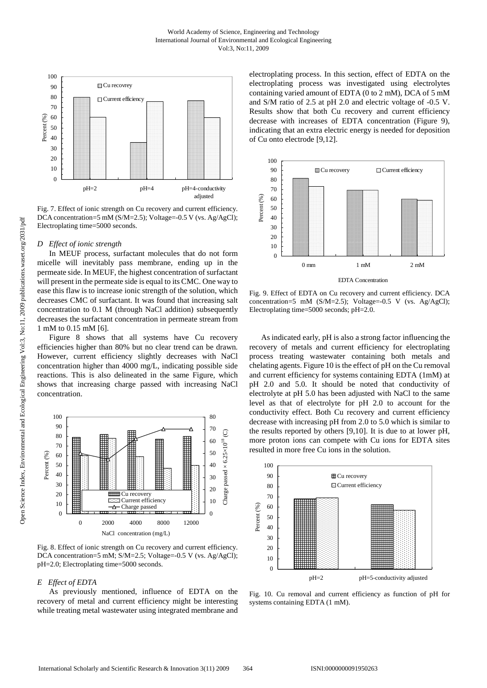

Fig. 7. Effect of ionic strength on Cu recovery and current efficiency. DCA concentration=5 mM (S/M=2.5); Voltage=-0.5 V (vs. Ag/AgCl); Electroplating time=5000 seconds.

### *D Effect of ionic strength*

In MEUF process, surfactant molecules that do not form micelle will inevitably pass membrane, ending up in the permeate side. In MEUF, the highest concentration of surfactant will present in the permeate side is equal to its CMC. One way to ease this flaw is to increase ionic strength of the solution, which decreases CMC of surfactant. It was found that increasing salt concentration to 0.1 M (through NaCl addition) subsequently decreases the surfactant concentration in permeate stream from 1 mM to 0.15 mM [6].

Figure 8 shows that all systems have Cu recovery efficiencies higher than 80% but no clear trend can be drawn. However, current efficiency slightly decreases with NaCl concentration higher than 4000 mg/L, indicating possible side reactions. This is also delineated in the same Figure, which shows that increasing charge passed with increasing NaCl concentration.



Fig. 8. Effect of ionic strength on Cu recovery and current efficiency. DCA concentration=5 mM; S/M=2.5; Voltage=-0.5 V (vs. Ag/AgCl); pH=2.0; Electroplating time=5000 seconds.

#### *E Effect of EDTA*

As previously mentioned, influence of EDTA on the recovery of metal and current efficiency might be interesting while treating metal wastewater using integrated membrane and electroplating process. In this section, effect of EDTA on the electroplating process was investigated using electrolytes containing varied amount of EDTA (0 to 2 mM), DCA of 5 mM and S/M ratio of 2.5 at pH 2.0 and electric voltage of -0.5 V. Results show that both Cu recovery and current efficiency decrease with increases of EDTA concentration (Figure 9), indicating that an extra electric energy is needed for deposition of Cu onto electrode [9,12].



Fig. 9. Effect of EDTA on Cu recovery and current efficiency. DCA concentration=5 mM (S/M=2.5); Voltage=-0.5 V (vs. Ag/AgCl); Electroplating time=5000 seconds; pH=2.0.

As indicated early, pH is also a strong factor influencing the recovery of metals and current efficiency for electroplating process treating wastewater containing both metals and chelating agents. Figure 10 is the effect of pH on the Cu removal and current efficiency for systems containing EDTA (1mM) at pH 2.0 and 5.0. It should be noted that conductivity of electrolyte at pH 5.0 has been adjusted with NaCl to the same level as that of electrolyte for pH 2.0 to account for the conductivity effect. Both Cu recovery and current efficiency decrease with increasing pH from 2.0 to 5.0 which is similar to the results reported by others [9,10]. It is due to at lower pH, more proton ions can compete with Cu ions for EDTA sites resulted in more free Cu ions in the solution.



Fig. 10. Cu removal and current efficiency as function of pH for systems containing EDTA (1 mM).